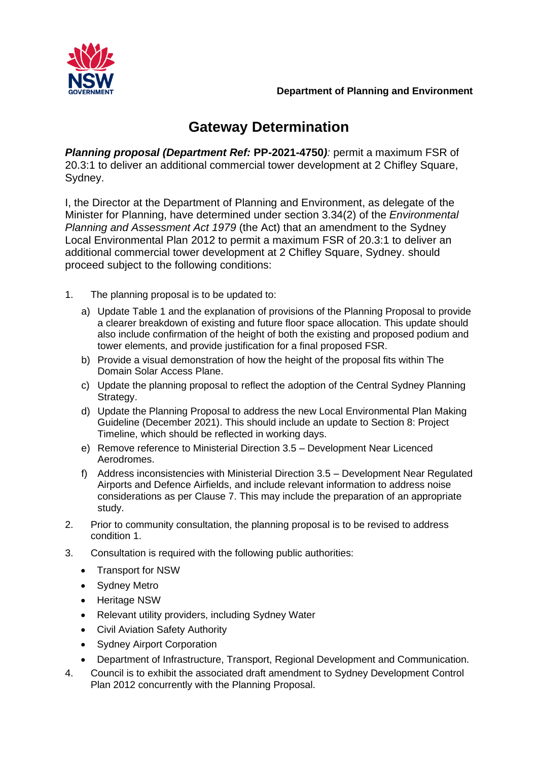



## **Gateway Determination**

*Planning proposal (Department Ref:* **PP***-***2021-4750***):* permit a maximum FSR of 20.3:1 to deliver an additional commercial tower development at 2 Chifley Square, Sydney.

I, the Director at the Department of Planning and Environment, as delegate of the Minister for Planning, have determined under section 3.34(2) of the *Environmental Planning and Assessment Act 1979* (the Act) that an amendment to the Sydney Local Environmental Plan 2012 to permit a maximum FSR of 20.3:1 to deliver an additional commercial tower development at 2 Chifley Square, Sydney. should proceed subject to the following conditions:

- 1. The planning proposal is to be updated to:
	- a) Update Table 1 and the explanation of provisions of the Planning Proposal to provide a clearer breakdown of existing and future floor space allocation. This update should also include confirmation of the height of both the existing and proposed podium and tower elements, and provide justification for a final proposed FSR.
	- b) Provide a visual demonstration of how the height of the proposal fits within The Domain Solar Access Plane.
	- c) Update the planning proposal to reflect the adoption of the Central Sydney Planning Strategy.
	- d) Update the Planning Proposal to address the new Local Environmental Plan Making Guideline (December 2021). This should include an update to Section 8: Project Timeline, which should be reflected in working days.
	- e) Remove reference to Ministerial Direction 3.5 Development Near Licenced Aerodromes.
	- f) Address inconsistencies with Ministerial Direction 3.5 Development Near Regulated Airports and Defence Airfields, and include relevant information to address noise considerations as per Clause 7. This may include the preparation of an appropriate study.
- 2. Prior to community consultation, the planning proposal is to be revised to address condition 1.
- 3. Consultation is required with the following public authorities:
	- Transport for NSW
	- Sydney Metro
	- Heritage NSW
	- Relevant utility providers, including Sydney Water
	- Civil Aviation Safety Authority
	- Sydney Airport Corporation
	- Department of Infrastructure, Transport, Regional Development and Communication.
- 4. Council is to exhibit the associated draft amendment to Sydney Development Control Plan 2012 concurrently with the Planning Proposal.